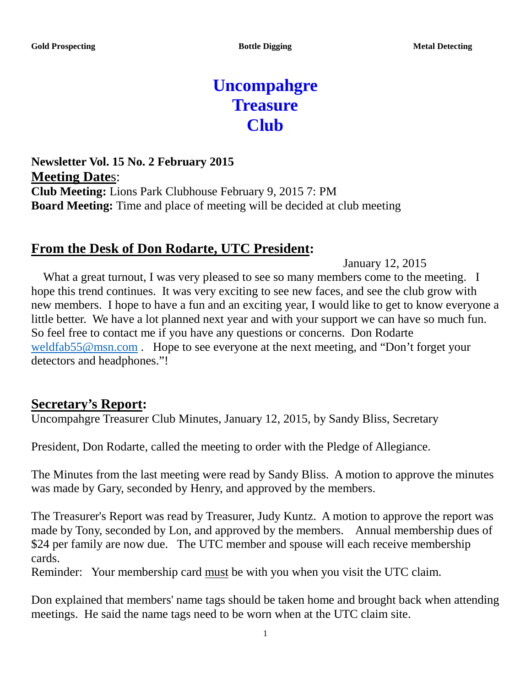# **Uncompahgre Treasure Club**

**Newsletter Vol. 15 No. 2 February 2015 Meeting Date**s: **Club Meeting:** Lions Park Clubhouse February 9, 2015 7: PM **Board Meeting:** Time and place of meeting will be decided at club meeting

# **From the Desk of Don Rodarte, UTC President:**

January 12, 2015

What a great turnout, I was very pleased to see so many members come to the meeting. I hope this trend continues. It was very exciting to see new faces, and see the club grow with new members. I hope to have a fun and an exciting year, I would like to get to know everyone a little better. We have a lot planned next year and with your support we can have so much fun. So feel free to contact me if you have any questions or concerns. Don Rodarte [weldfab55@msn.com](mailto:weldfab55@msn.com). Hope to see everyone at the next meeting, and "Don't forget your detectors and headphones."!

# **Secretary's Report:**

Uncompahgre Treasurer Club Minutes, January 12, 2015, by Sandy Bliss, Secretary

President, Don Rodarte, called the meeting to order with the Pledge of Allegiance.

The Minutes from the last meeting were read by Sandy Bliss. A motion to approve the minutes was made by Gary, seconded by Henry, and approved by the members.

The Treasurer's Report was read by Treasurer, Judy Kuntz. A motion to approve the report was made by Tony, seconded by Lon, and approved by the members. Annual membership dues of \$24 per family are now due. The UTC member and spouse will each receive membership cards.

Reminder: Your membership card must be with you when you visit the UTC claim.

Don explained that members' name tags should be taken home and brought back when attending meetings. He said the name tags need to be worn when at the UTC claim site.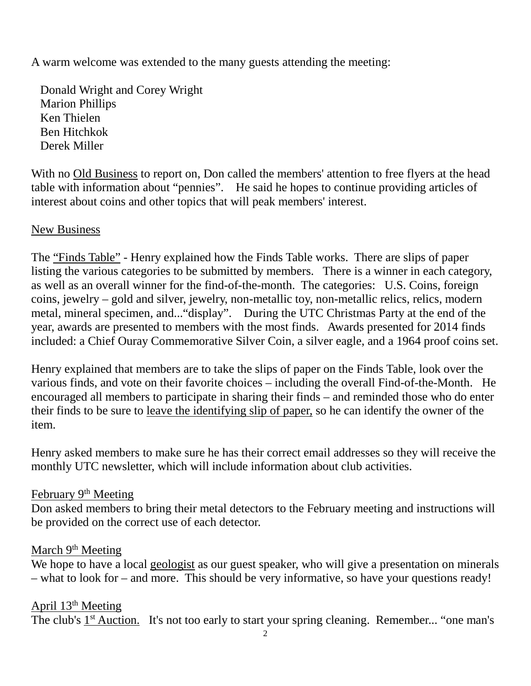A warm welcome was extended to the many guests attending the meeting:

 Donald Wright and Corey Wright Marion Phillips Ken Thielen Ben Hitchkok Derek Miller

With no Old Business to report on, Don called the members' attention to free flyers at the head table with information about "pennies". He said he hopes to continue providing articles of interest about coins and other topics that will peak members' interest.

#### New Business

The "Finds Table" - Henry explained how the Finds Table works. There are slips of paper listing the various categories to be submitted by members. There is a winner in each category, as well as an overall winner for the find-of-the-month. The categories: U.S. Coins, foreign coins, jewelry – gold and silver, jewelry, non-metallic toy, non-metallic relics, relics, modern metal, mineral specimen, and..."display". During the UTC Christmas Party at the end of the year, awards are presented to members with the most finds. Awards presented for 2014 finds included: a Chief Ouray Commemorative Silver Coin, a silver eagle, and a 1964 proof coins set.

Henry explained that members are to take the slips of paper on the Finds Table, look over the various finds, and vote on their favorite choices – including the overall Find-of-the-Month. He encouraged all members to participate in sharing their finds – and reminded those who do enter their finds to be sure to leave the identifying slip of paper, so he can identify the owner of the item.

Henry asked members to make sure he has their correct email addresses so they will receive the monthly UTC newsletter, which will include information about club activities.

#### February 9<sup>th</sup> Meeting

Don asked members to bring their metal detectors to the February meeting and instructions will be provided on the correct use of each detector.

#### March 9<sup>th</sup> Meeting

We hope to have a local geologist as our guest speaker, who will give a presentation on minerals – what to look for – and more. This should be very informative, so have your questions ready!

#### April  $13<sup>th</sup>$  Meeting

The club's 1<sup>st</sup> Auction. It's not too early to start your spring cleaning. Remember... "one man's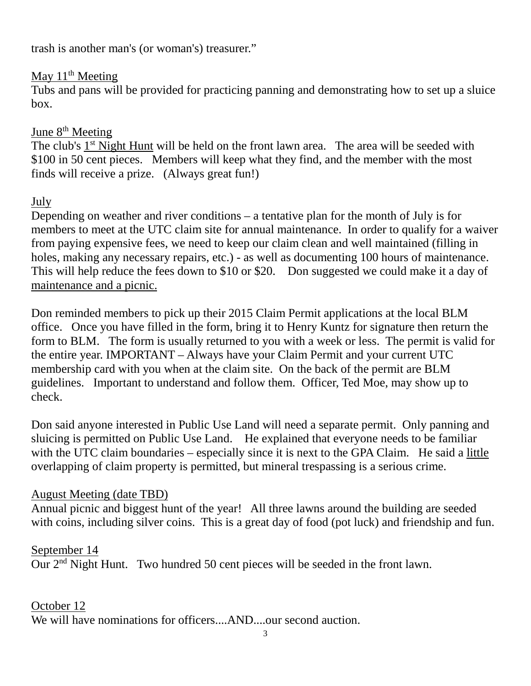trash is another man's (or woman's) treasurer."

# May  $11<sup>th</sup>$  Meeting

Tubs and pans will be provided for practicing panning and demonstrating how to set up a sluice box.

# June 8<sup>th</sup> Meeting

The club's 1<sup>st</sup> Night Hunt will be held on the front lawn area. The area will be seeded with \$100 in 50 cent pieces. Members will keep what they find, and the member with the most finds will receive a prize. (Always great fun!)

# July

Depending on weather and river conditions – a tentative plan for the month of July is for members to meet at the UTC claim site for annual maintenance. In order to qualify for a waiver from paying expensive fees, we need to keep our claim clean and well maintained (filling in holes, making any necessary repairs, etc.) - as well as documenting 100 hours of maintenance. This will help reduce the fees down to \$10 or \$20. Don suggested we could make it a day of maintenance and a picnic.

Don reminded members to pick up their 2015 Claim Permit applications at the local BLM office. Once you have filled in the form, bring it to Henry Kuntz for signature then return the form to BLM. The form is usually returned to you with a week or less. The permit is valid for the entire year. IMPORTANT – Always have your Claim Permit and your current UTC membership card with you when at the claim site. On the back of the permit are BLM guidelines. Important to understand and follow them. Officer, Ted Moe, may show up to check.

Don said anyone interested in Public Use Land will need a separate permit. Only panning and sluicing is permitted on Public Use Land. He explained that everyone needs to be familiar with the UTC claim boundaries – especially since it is next to the GPA Claim. He said a little overlapping of claim property is permitted, but mineral trespassing is a serious crime.

# August Meeting (date TBD)

Annual picnic and biggest hunt of the year! All three lawns around the building are seeded with coins, including silver coins. This is a great day of food (pot luck) and friendship and fun.

# September 14

Our 2nd Night Hunt. Two hundred 50 cent pieces will be seeded in the front lawn.

# October 12

We will have nominations for officers....AND....our second auction.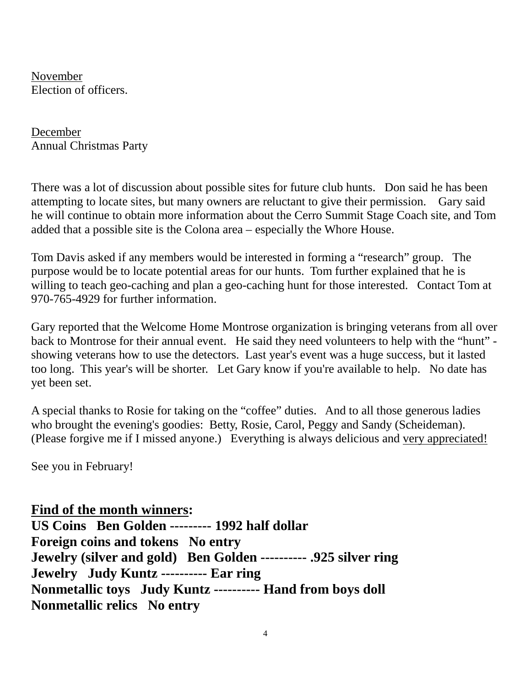November Election of officers.

December Annual Christmas Party

There was a lot of discussion about possible sites for future club hunts. Don said he has been attempting to locate sites, but many owners are reluctant to give their permission. Gary said he will continue to obtain more information about the Cerro Summit Stage Coach site, and Tom added that a possible site is the Colona area – especially the Whore House.

Tom Davis asked if any members would be interested in forming a "research" group. The purpose would be to locate potential areas for our hunts. Tom further explained that he is willing to teach geo-caching and plan a geo-caching hunt for those interested. Contact Tom at 970-765-4929 for further information.

Gary reported that the Welcome Home Montrose organization is bringing veterans from all over back to Montrose for their annual event. He said they need volunteers to help with the "hunt" showing veterans how to use the detectors. Last year's event was a huge success, but it lasted too long. This year's will be shorter. Let Gary know if you're available to help. No date has yet been set.

A special thanks to Rosie for taking on the "coffee" duties. And to all those generous ladies who brought the evening's goodies: Betty, Rosie, Carol, Peggy and Sandy (Scheideman). (Please forgive me if I missed anyone.) Everything is always delicious and very appreciated!

See you in February!

**Find of the month winners: US Coins Ben Golden --------- 1992 half dollar**

**Foreign coins and tokens No entry Jewelry (silver and gold) Ben Golden ---------- .925 silver ring Jewelry Judy Kuntz ---------- Ear ring Nonmetallic toys Judy Kuntz ---------- Hand from boys doll Nonmetallic relics No entry**